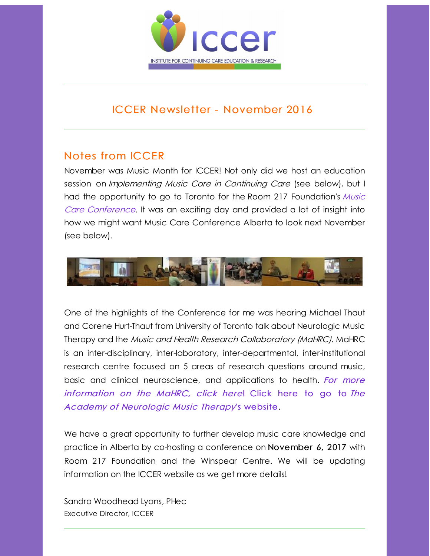

# ICCER Newsletter - November 2016

## Notes from ICCER

November was Music Month for ICCER! Not only did we host an education session on *Implementing Music Care in Continuing Care* (see below), but I had the opportunity to go to Toronto for the Room 217 [Foundation's](http://r20.rs6.net/tn.jsp?f=001tQfySHXq9Ry0zqXAmackPNSxugpBNBCthHQbLQW2OYPkcsR-jSQ8quH6kQb_opJrGq1dj36_uA2Vtj0vE6YxopU2KTDCdumW3AoRvzDmCi_kNENWcr6UL9v-jU6FWN8enaldcmAFylBemde5gqqWMyE5EDkbf7mi47VhBMYRb2CSsxDu5NqRhapkQez3x9o2rzmvun3lUTo=&c=&ch=) Music Care Conference. It was an exciting day and provided a lot of insight into how we might want Music Care Conference Alberta to look next November (see below).



One of the highlights of the Conference for me was hearing Michael Thaut and Corene Hurt-Thaut from University of Toronto talk about Neurologic Music Therapy and the Music and Health Research Collaboratory (MaHRC). MaHRC is an inter-disciplinary, inter-laboratory, inter-departmental, inter-institutional research centre focused on 5 areas of research questions around music, basic and clinical [neuroscience,](http://r20.rs6.net/tn.jsp?f=001tQfySHXq9Ry0zqXAmackPNSxugpBNBCthHQbLQW2OYPkcsR-jSQ8quH6kQb_opJrBqcdI2WSaS53cQCsgP4w4YjI0XUOEv1X2qrOhuo991Vul7KLAw07F8KpNnFAcm2eHVKaafvR7iVbaY0HN-SSwNZBu5JykTUFqWb31W08c0o=&c=&ch=) and applications to health. For more information on the MaHRC, click here! Click here to go to The Academy of [Neurologic](http://r20.rs6.net/tn.jsp?f=001tQfySHXq9Ry0zqXAmackPNSxugpBNBCthHQbLQW2OYPkcsR-jSQ8quH6kQb_opJrUg8ut9NfnarYfufAX8pyhPSkAPHDFu1A8Nn4y6wYtcsn2pc43sJN24qrRY2ilTyJ52WGj8WgxE5DMOzcGvWMCqgoYI4JFUmM9PMv4F4DAh0=&c=&ch=) Music Therapy's website.

We have a great opportunity to further develop music care knowledge and practice in Alberta by co-hosting a conference on November 6, 2017 with Room 217 Foundation and the Winspear Centre. We will be updating information on the ICCER website as we get more details!

Sandra Woodhead Lyons, PHec Executive Director, ICCER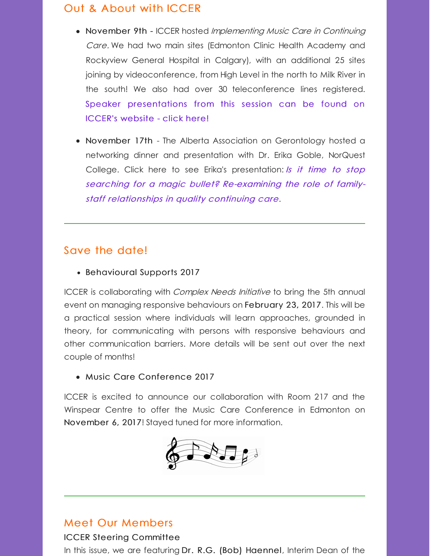## Out & About with ICCER

- November 9th ICCER hosted *Implementing Music Care in Continuing* Care. We had two main sites (Edmonton Clinic Health Academy and Rockyview General Hospital in Calgary), with an additional 25 sites joining by videoconference, from High Level in the north to Milk River in the south! We also had over 30 teleconference lines registered. Speaker [presentations](http://r20.rs6.net/tn.jsp?f=001tQfySHXq9Ry0zqXAmackPNSxugpBNBCthHQbLQW2OYPkcsR-jSQ8quH6kQb_opJr0VCtjMeVgpJMiNjoLSf5414p4wucNVxeT_C-XLzLIHEBlhL7vMrAKms4lH1OO190QnlSwANycb-VvxMij4u4xeCuCiSi-tGq5_MNOPWdlBoSMFJlx8-ZHGF4ESqPec7VW3BW-wu0bTk=&c=&ch=) from this session can be found on ICCER's website - click here!
- November 17th The Alberta Association on Gerontology hosted a networking dinner and presentation with Dr. Erika Goble, NorQuest College. Click here to see Erika's presentation: Is it time to stop searching for a magic bullet? [Re-examining](http://r20.rs6.net/tn.jsp?f=001tQfySHXq9Ry0zqXAmackPNSxugpBNBCthHQbLQW2OYPkcsR-jSQ8quH6kQb_opJrdeP1zO44GJdI8ZU4vWsOXcPA_17bNK6pW2j-KTXFvw2JDIBEcK6wcFhv-5t04QF15TY_FbE48Rk2Pmozq28y-0-t2J6Wwuuw3Wxq9gJgrB2vsq94WJ7AvC-fr04nrHy3JvAvTpnTUi8uIr1HQ0evGfY43bxsHdVVrvC7HytAFnEBYSTsFyqAEA==&c=&ch=) the role of familystaff relationships in quality continuing care.

### Save the date!

Behavioural Supports 2017

ICCER is collaborating with *Complex Needs Initiative* to bring the 5th annual event on managing responsive behaviours on February 23, 2017. This will be a practical session where individuals will learn approaches, grounded in theory, for communicating with persons with responsive behaviours and other communication barriers. More details will be sent out over the next couple of months!

### Music Care Conference 2017

ICCER is excited to announce our collaboration with Room 217 and the Winspear Centre to offer the Music Care Conference in Edmonton on November 6, 2017! Stayed tuned for more information.



### Meet Our Members

#### ICCER Steering Committee

In this issue, we are featuring Dr. R.G. (Bob) Haennel, Interim Dean of the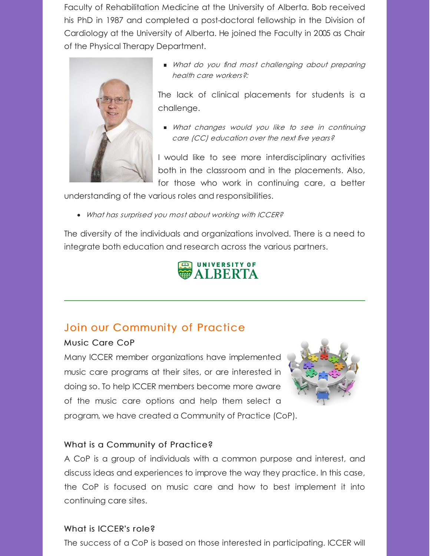Faculty of Rehabilitation Medicine at the University of Alberta. Bob received his PhD in 1987 and completed a post-doctoral fellowship in the Division of Cardiology at the University of Alberta. He joined the Faculty in 2005 as Chair of the Physical Therapy Department.



What do you find most challenging about preparing health care workers?:

The lack of clinical placements for students is a challenge.

**Nhat changes would you like to see in continuing** care (CC) education over the next five years?

I would like to see more interdisciplinary activities both in the classroom and in the placements. Also, for those who work in continuing care, a better

understanding of the various roles and responsibilities.

What has surprised you most about working with ICCER?

The diversity of the individuals and organizations involved. There is a need to integrate both education and research across the various partners.

# **EN UNIVERSITY OF**

# Join our Community of Practice

### Music Care CoP

Many ICCER member organizations have implemented music care programs at their sites, or are interested in doing so. To help ICCER members become more aware of the music care options and help them select a program, we have created a Community of Practice (CoP).



### What is a Community of Practice?

A CoP is a group of individuals with a common purpose and interest, and discuss ideas and experiences to improve the way they practice. In this case, the CoP is focused on music care and how to best implement it into continuing care sites.

### What is ICCER's role?

The success of a CoP is based on those interested in participating. ICCER will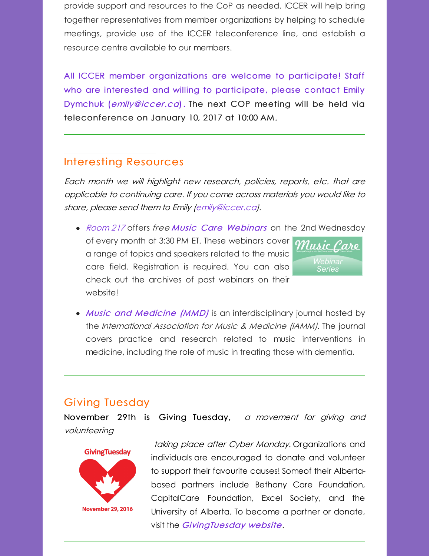provide support and resources to the CoP as needed. ICCER will help bring together representatives from member organizations by helping to schedule meetings, provide use of the ICCER teleconference line, and establish a resource centre available to our members.

All ICCER member organizations are welcome to participate! Staff who are interested and willing to participate, please contact Emily Dymchuk ([emily@iccer.ca](mailto:emily@iccer.ca)). The next COP meeting will be held via teleconference on January 10, 2017 at 10:00 AM.

## Interesting Resources

Each month we will highlight new research, policies, reports, etc. that are applicable to continuing care. If you come across materials you would like to share, please send them to Emily [\(emily@iccer.ca](mailto:emily@iccer.ca)).

• [Room](http://r20.rs6.net/tn.jsp?f=001tQfySHXq9Ry0zqXAmackPNSxugpBNBCthHQbLQW2OYPkcsR-jSQ8qocgR4IpDrg2yNsXaz35vT-Zt_TDw7vqr_Qk6ioPZwyyHXEpAOCAUcheU5yLn5JmCsDTLQaQCaicTy19ZSVx5TsQrvVHw0WcUe6rDsgpdP-0VM984VqEgK8=&c=&ch=) 217 offers free Music Care [Webinars](http://r20.rs6.net/tn.jsp?f=001tQfySHXq9Ry0zqXAmackPNSxugpBNBCthHQbLQW2OYPkcsR-jSQ8qolyR-6xcINYN4hOcWpN7AiUC7SI9iTEfMS3AtgJ3Jn2_PbBBeXxfSEqsFkhO3D4Fv8paZqB9gj49BCoUQy5lEgPNPT2ik1lxvaIl0TInLhbNst5oOjUSs5uCFvMCcaheic99hiUVuh5&c=&ch=) on the 2nd Wednesday

of every month at 3:30 PM ET. These webinars cover a range of topics and speakers related to the music care field. Registration is required. You can also check out the archives of past webinars on their website!



• Music and [Medicine](http://r20.rs6.net/tn.jsp?f=001tQfySHXq9Ry0zqXAmackPNSxugpBNBCthHQbLQW2OYPkcsR-jSQ8qolyR-6xcINYA8RWEym-Q4Wj04umucE516w4qFCwOHs2TqTjFNKN9tbC-9JmNA_Rvq2waNt0dYuIlLrrhFCGvPYvrKqopSc2NVYErfEOt1ujGJ6RUPtw_ljyp0JKkbzCQGcp-Z7iWR3vuhUsOAUCRW7now4E0guY-g==&c=&ch=) (MMD) is an interdisciplinary journal hosted by the International Association for Music & Medicine (IAMM). The journal covers practice and research related to music interventions in medicine, including the role of music in treating those with dementia.

# Giving Tuesday

November 29th is Giving [Tuesday](http://r20.rs6.net/tn.jsp?f=001tQfySHXq9Ry0zqXAmackPNSxugpBNBCthHQbLQW2OYPkcsR-jSQ8quH6kQb_opJrNlemZq9m8WKPd8vPAaf2Tl_zvswE3pnX-Q81_WnNgRKqWG2n_SuIzx8eiEtIbcFTZNfRSf2KXO-m7IeemOYXp3IKIBMO0xRE4329bHTsS_A=&c=&ch=), a movement for giving and volunteering



taking place after Cyber Monday. Organizations and individuals are encouraged to donate and volunteer to support their favourite causes! Someof their Albertabased partners include Bethany Care Foundation, CapitalCare Foundation, Excel Society, and the University of Alberta. To become a partner or donate, visit the *[GivingTuesday](http://r20.rs6.net/tn.jsp?f=001tQfySHXq9Ry0zqXAmackPNSxugpBNBCthHQbLQW2OYPkcsR-jSQ8quH6kQb_opJrNlemZq9m8WKPd8vPAaf2Tl_zvswE3pnX-Q81_WnNgRKqWG2n_SuIzx8eiEtIbcFTZNfRSf2KXO-m7IeemOYXp3IKIBMO0xRE4329bHTsS_A=&c=&ch=)* website.